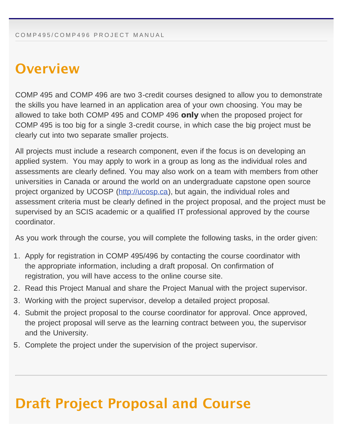#### <span id="page-0-0"></span>**Overview**

COMP 495 and COMP 496 are two 3-credit courses designed to allow you to demonstrate the skills you have learned in an application area of your own choosing. You may be allowed to take both COMP 495 and COMP 496 only when the proposed project for COMP 495 is too big for a single 3-credit course, in which case the big project must be clearly cut into two separate smaller projects.

All projects must include a research component, even if the focus is on developing an applied system. You may apply to work in a group as long as the individual roles and assessments are clearly defined. You may also work on a team with members from other universities in Canada or around the world on an undergraduate capstone open source project organized by UCOSP ([http://ucosp.ca\)](http://ucosp.ca/), but again, the individual roles and assessment criteria must be clearly defined in the project proposal, and the project must be supervised by an SCIS academic or a qualified IT professional approved by the course coordinator.

As you work through the course, you will complete the following tasks, in the order given:

- 1. Apply for registration in COMP 495/496 by contacting the course coordinator with the appropriate information, including a draft proposal. On confirmation of registration, you will have access to the online course site.
- 2. Read this Project Manual and share the Project Manual with the project supervisor.
- 3. Working with the project supervisor, develop a detailed project proposal.
- 4. Submit the project proposal to the course coordinator for approval. Once approved, the project proposal will serve as the learning contract between you, the supervisor and the University.
- 5. Complete the project under the supervision of the project supervisor.

#### Draft Project Proposal and Course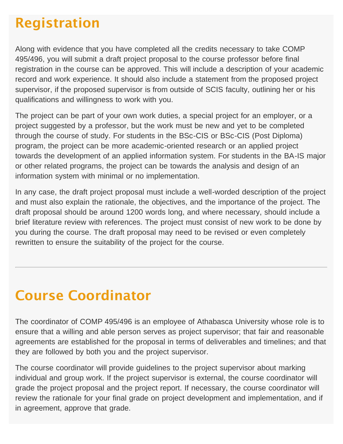## Registration

Along with evidence that you have completed all the credits necessary to take COMP 495/496, you will submit a draft project proposal to the course professor before final registration in the course can be approved. This will include a description of your academic record and work experience. It should also include a statement from the proposed project supervisor, if the proposed supervisor is from outside of SCIS faculty, outlining her or his qualifications and willingness to work with you.

The project can be part of your own work duties, a special project for an employer, or a project suggested by a professor, but the work must be new and yet to be completed through the course of study. For students in the BSc-CIS or BSc-CIS (Post Diploma) program, the project can be more academic-oriented research or an applied project towards the development of an applied information system. For students in the BA-IS major or other related programs, the project can be towards the analysis and design of an information system with minimal or no implementation.

In any case, the draft project proposal must include a well-worded description of the project and must also explain the rationale, the objectives, and the importance of the project. The draft proposal should be around 1200 words long, and where necessary, should include a brief literature review with references. The project must consist of new work to be done by you during the course. The draft proposal may need to be revised or even completely rewritten to ensure the suitability of the project for the course.

### Course Coordinator

The coordinator of COMP 495/496 is an employee of Athabasca University whose role is to ensure that a willing and able person serves as project supervisor; that fair and reasonable agreements are established for the proposal in terms of deliverables and timelines; and that they are followed by both you and the project supervisor.

The course coordinator will provide guidelines to the project supervisor about marking individual and group work. If the project supervisor is external, the course coordinator will grade the project proposal and the project report. If necessary, the course coordinator will review the rationale for your final grade on project development and implementation, and if in agreement, approve that grade.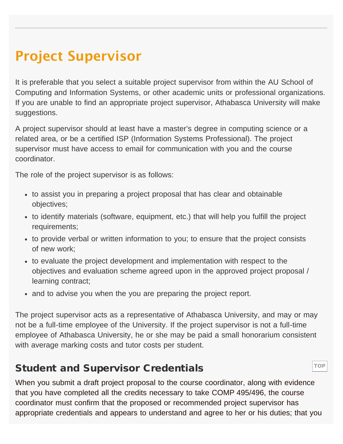# Project Supervisor

It is preferable that you select a suitable project supervisor from within the AU School of Computing and Information Systems, or other academic units or professional organizations. If you are unable to find an appropriate project supervisor, Athabasca University will make suggestions.

A project supervisor should at least have a master's degree in computing science or a related area, or be a certified ISP (Information Systems Professional). The project supervisor must have access to email for communication with you and the course coordinator.

The role of the project supervisor is as follows:

- to assist you in preparing a project proposal that has clear and obtainable objectives;
- to identify materials (software, equipment, etc.) that will help you fulfill the project requirements;
- to provide verbal or written information to you; to ensure that the project consists of new work;
- to evaluate the project development and implementation with respect to the objectives and evaluation scheme agreed upon in the approved project proposal / learning contract;
- and to advise you when the you are preparing the project report.

The project supervisor acts as a representative of Athabasca University, and may or may not be a full-time employee of the University. If the project supervisor is not a full-time employee of Athabasca University, he or she may be paid a small honorarium consistent with average marking costs and tutor costs per student.

#### Student and Supervisor Credentials

When you submit a draft project proposal to the course coordinator, along with evidence that you have completed all the credits necessary to take COMP 495/496, the course coordinator must confirm that the proposed or recommended project supervisor has appropriate credentials and appears to understand and agree to her or his duties; that you

**[TOP](#page-0-0)**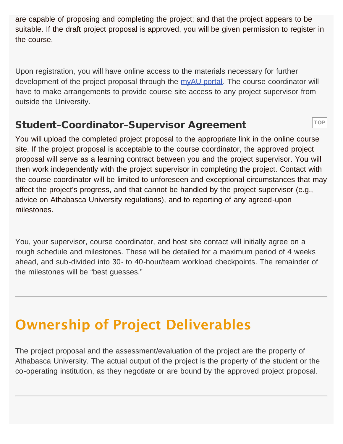are capable of proposing and completing the project; and that the project appears to be suitable. If the draft project proposal is approved, you will be given permission to register in the course.

Upon registration, you will have online access to the materials necessary for further development of the project proposal through the [myAU portal.](http://my.athabascau.ca/) The course coordinator will have to make arrangements to provide course site access to any project supervisor from outside the University.

#### Student–Coordinator–Supervisor Agreement

You will upload the completed project proposal to the appropriate link in the online course site. If the project proposal is acceptable to the course coordinator, the approved project proposal will serve as a learning contract between you and the project supervisor. You will then work independently with the project supervisor in completing the project. Contact with the course coordinator will be limited to unforeseen and exceptional circumstances that may affect the project's progress, and that cannot be handled by the project supervisor (e.g., advice on Athabasca University regulations), and to reporting of any agreed-upon milestones.

[TOP](#page-0-0)

You, your supervisor, course coordinator, and host site contact will initially agree on a rough schedule and milestones. These will be detailed for a maximum period of 4 weeks ahead, and sub-divided into 30- to 40-hour/team workload checkpoints. The remainder of the milestones will be "best guesses."

# Ownership of Project Deliverables

The project proposal and the assessment/evaluation of the project are the property of Athabasca University. The actual output of the project is the property of the student or the co-operating institution, as they negotiate or are bound by the approved project proposal.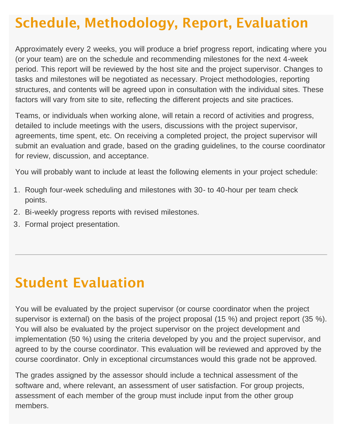# Schedule, Methodology, Report, Evaluation

Approximately every 2 weeks, you will produce a brief progress report, indicating where you (or your team) are on the schedule and recommending milestones for the next 4-week period. This report will be reviewed by the host site and the project supervisor. Changes to tasks and milestones will be negotiated as necessary. Project methodologies, reporting structures, and contents will be agreed upon in consultation with the individual sites. These factors will vary from site to site, reflecting the different projects and site practices.

Teams, or individuals when working alone, will retain a record of activities and progress, detailed to include meetings with the users, discussions with the project supervisor, agreements, time spent, etc. On receiving a completed project, the project supervisor will submit an evaluation and grade, based on the grading guidelines, to the course coordinator for review, discussion, and acceptance.

You will probably want to include at least the following elements in your project schedule:

- 1. Rough four-week scheduling and milestones with 30- to 40-hour per team check points.
- 2. Bi-weekly progress reports with revised milestones.
- 3. Formal project presentation.

#### Student Evaluation

You will be evaluated by the project supervisor (or course coordinator when the project supervisor is external) on the basis of the project proposal (15 %) and project report (35 %). You will also be evaluated by the project supervisor on the project development and implementation (50 %) using the criteria developed by you and the project supervisor, and agreed to by the course coordinator. This evaluation will be reviewed and approved by the course coordinator. Only in exceptional circumstances would this grade not be approved.

The grades assigned by the assessor should include a technical assessment of the software and, where relevant, an assessment of user satisfaction. For group projects, assessment of each member of the group must include input from the other group members.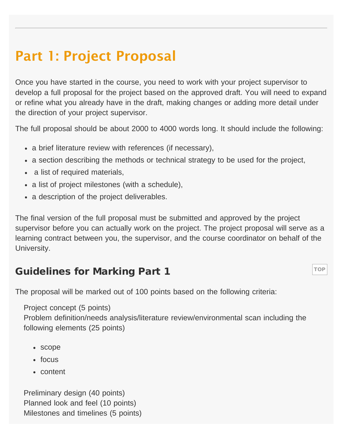### Part 1: Project Proposal

Once you have started in the course, you need to work with your project supervisor to develop a full proposal for the project based on the approved draft. You will need to expand or refine what you already have in the draft, making changes or adding more detail under the direction of your project supervisor.

The full proposal should be about 2000 to 4000 words long. It should include the following:

- a brief literature review with references (if necessary),
- a section describing the methods or technical strategy to be used for the project,
- a list of required materials,
- a list of project milestones (with a schedule),
- a description of the project deliverables.

The final version of the full proposal must be submitted and approved by the project supervisor before you can actually work on the project. The project proposal will serve as a learning contract between you, the supervisor, and the course coordinator on behalf of the University.

**[TOP](#page-0-0)** 

#### Guidelines for Marking Part 1

The proposal will be marked out of 100 points based on the following criteria:

Project concept (5 points)

Problem definition/needs analysis/literature review/environmental scan including the following elements (25 points)

- scope
- focus
- content

Preliminary design (40 points) Planned look and feel (10 points) Milestones and timelines (5 points)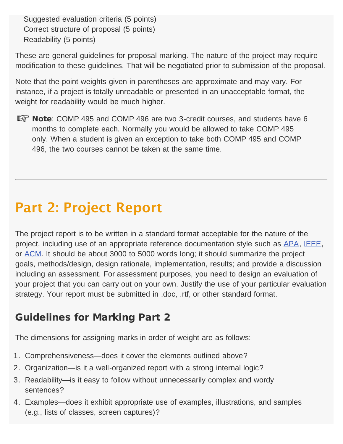Suggested evaluation criteria (5 points) Correct structure of proposal (5 points) Readability (5 points)

These are general guidelines for proposal marking. The nature of the project may require modification to these guidelines. That will be negotiated prior to submission of the proposal.

Note that the point weights given in parentheses are approximate and may vary. For instance, if a project is totally unreadable or presented in an unacceptable format, the weight for readability would be much higher.

**EX Note:** COMP 495 and COMP 496 are two 3-credit courses, and students have 6 months to complete each. Normally you would be allowed to take COMP 495 only. When a student is given an exception to take both COMP 495 and COMP 496, the two courses cannot be taken at the same time.

# Part 2: Project Report

The project report is to be written in a standard format acceptable for the nature of the project, including use of an appropriate reference documentation style such as [APA,](http://owl.english.purdue.edu/owl/resource/560/01/) [IEEE,](http://www.ieee.org/publications_standards/publications/authors/authors_journals.html) or [ACM.](http://www.acm.org/publications/latex_style/) It should be about 3000 to 5000 words long; it should summarize the project goals, methods/design, design rationale, implementation, results; and provide a discussion including an assessment. For assessment purposes, you need to design an evaluation of your project that you can carry out on your own. Justify the use of your particular evaluation strategy. Your report must be submitted in .doc, .rtf, or other standard format.

#### Guidelines for Marking Part 2

The dimensions for assigning marks in order of weight are as follows:

- 1. Comprehensiveness—does it cover the elements outlined above?
- 2. Organization—is it a well-organized report with a strong internal logic?
- 3. Readability—is it easy to follow without unnecessarily complex and wordy sentences?
- 4. Examples—does it exhibit appropriate use of examples, illustrations, and samples (e.g., lists of classes, screen captures)?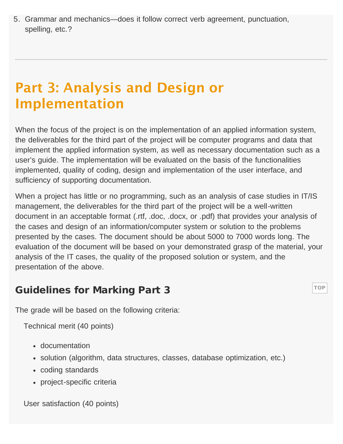5. Grammar and mechanics—does it follow correct verb agreement, punctuation, spelling, etc.?

#### Part 3: Analysis and Design or Implementation

When the focus of the project is on the implementation of an applied information system, the deliverables for the third part of the project will be computer programs and data that implement the applied information system, as well as necessary documentation such as a user's guide. The implementation will be evaluated on the basis of the functionalities implemented, quality of coding, design and implementation of the user interface, and sufficiency of supporting documentation.

When a project has little or no programming, such as an analysis of case studies in IT/IS management, the deliverables for the third part of the project will be a well-written document in an acceptable format (.rtf, .doc, .docx, or .pdf) that provides your analysis of the cases and design of an information/computer system or solution to the problems presented by the cases. The document should be about 5000 to 7000 words long. The evaluation of the document will be based on your demonstrated grasp of the material, your analysis of the IT cases, the quality of the proposed solution or system, and the presentation of the above.

**[TOP](#page-0-0)** 

#### Guidelines for Marking Part 3

The grade will be based on the following criteria:

Technical merit (40 points)

- documentation
- solution (algorithm, data structures, classes, database optimization, etc.)
- coding standards
- project-specific criteria

User satisfaction (40 points)